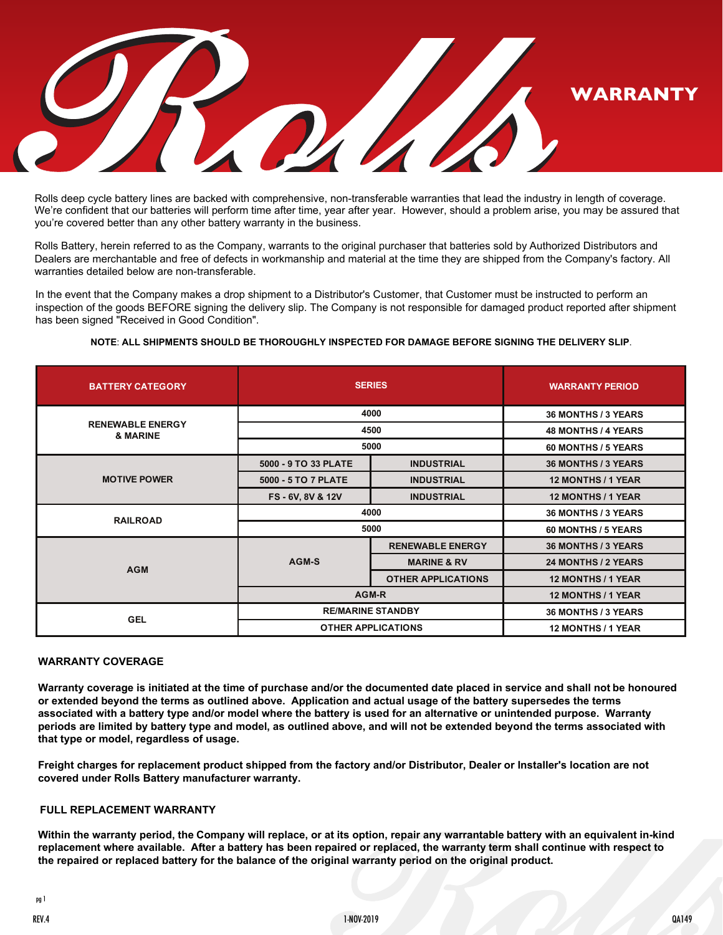

Rolls deep cycle battery lines are backed with comprehensive, non-transferable warranties that lead the industry in length of coverage. We're confident that our batteries will perform time after time, year after year. However, should a problem arise, you may be assured that you're covered better than any other battery warranty in the business.

Rolls Battery, herein referred to as the Company, warrants to the original purchaser that batteries sold by Authorized Distributors and Dealers are merchantable and free of defects in workmanship and material at the time they are shipped from the Company's factory. All warranties detailed below are non-transferable.

In the event that the Company makes a drop shipment to a Distributor's Customer, that Customer must be instructed to perform an inspection of the goods BEFORE signing the delivery slip. The Company is not responsible for damaged product reported after shipment has been signed "Received in Good Condition".

| <b>BATTERY CATEGORY</b>             | <b>SERIES</b>             |                           | <b>WARRANTY PERIOD</b>     |
|-------------------------------------|---------------------------|---------------------------|----------------------------|
| <b>RENEWABLE ENERGY</b><br>& MARINE | 4000                      |                           | 36 MONTHS / 3 YEARS        |
|                                     | 4500                      |                           | <b>48 MONTHS / 4 YEARS</b> |
|                                     | 5000                      |                           | 60 MONTHS / 5 YEARS        |
| <b>MOTIVE POWER</b>                 | 5000 - 9 TO 33 PLATE      | <b>INDUSTRIAL</b>         | <b>36 MONTHS / 3 YEARS</b> |
|                                     | 5000 - 5 TO 7 PLATE       | <b>INDUSTRIAL</b>         | <b>12 MONTHS / 1 YEAR</b>  |
|                                     | FS-6V, 8V & 12V           | <b>INDUSTRIAL</b>         | 12 MONTHS / 1 YEAR         |
| <b>RAILROAD</b>                     | 4000                      |                           | 36 MONTHS / 3 YEARS        |
|                                     | 5000                      |                           | 60 MONTHS / 5 YEARS        |
| <b>AGM</b>                          | AGM-S                     | <b>RENEWABLE ENERGY</b>   | <b>36 MONTHS / 3 YEARS</b> |
|                                     |                           | <b>MARINE &amp; RV</b>    | 24 MONTHS / 2 YEARS        |
|                                     |                           | <b>OTHER APPLICATIONS</b> | 12 MONTHS / 1 YEAR         |
|                                     | AGM-R                     |                           | 12 MONTHS / 1 YEAR         |
| <b>GEL</b>                          | <b>RE/MARINE STANDBY</b>  |                           | 36 MONTHS / 3 YEARS        |
|                                     | <b>OTHER APPLICATIONS</b> |                           | <b>12 MONTHS / 1 YEAR</b>  |

# **NOTE**: **ALL SHIPMENTS SHOULD BE THOROUGHLY INSPECTED FOR DAMAGE BEFORE SIGNING THE DELIVERY SLIP**.

### **WARRANTY COVERAGE**

**Warranty coverage is initiated at the time of purchase and/or the documented date placed in service and shall not be honoured or extended beyond the terms as outlined above. Application and actual usage of the battery supersedes the terms associated with a battery type and/or model where the battery is used for an alternative or unintended purpose. Warranty periods are limited by battery type and model, as outlined above, and will not be extended beyond the terms associated with that type or model, regardless of usage.**

**Freight charges for replacement product shipped from the factory and/or Distributor, Dealer or Installer's location are not covered under Rolls Battery manufacturer warranty.**

#### **FULL REPLACEMENT WARRANTY**

**Within the warranty period, the Company will replace, or at its option, repair any warrantable battery with an equivalent in-kind replacement where available. After a battery has been repaired or replaced, the warranty term shall continue with respect to the repaired or replaced battery for the balance of the original warranty period on the original product.** 

REV.4 1-NOV-2019 QA149